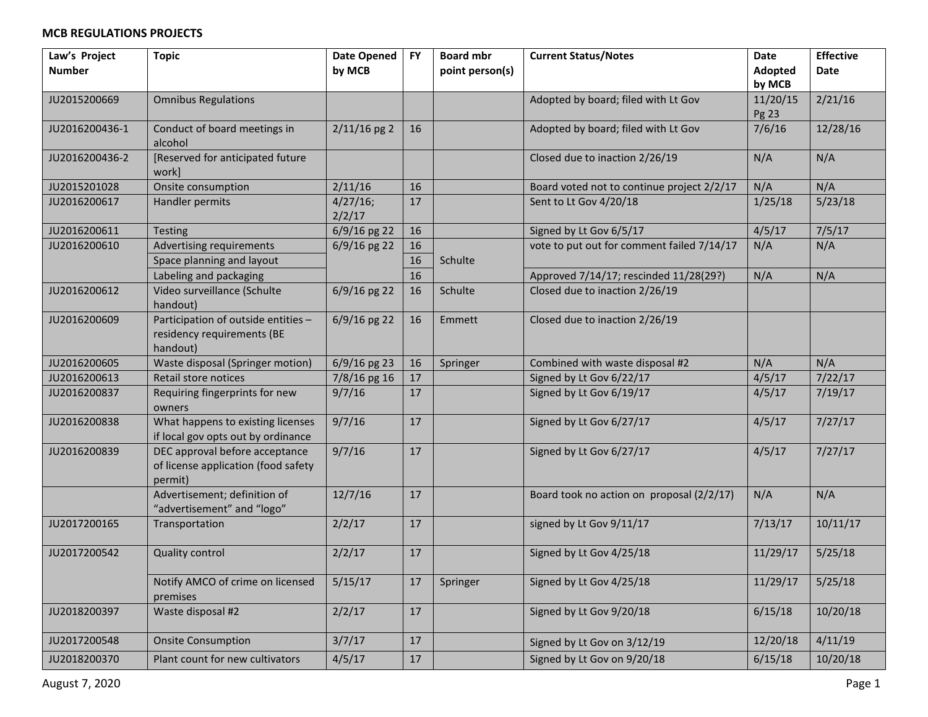| Law's Project  | <b>Topic</b>                                                                     | <b>Date Opened</b> | <b>FY</b> | <b>Board mbr</b> | <b>Current Status/Notes</b>                | <b>Date</b>        | <b>Effective</b> |
|----------------|----------------------------------------------------------------------------------|--------------------|-----------|------------------|--------------------------------------------|--------------------|------------------|
| <b>Number</b>  |                                                                                  | by MCB             |           | point person(s)  |                                            | Adopted            | Date             |
| JU2015200669   | <b>Omnibus Regulations</b>                                                       |                    |           |                  | Adopted by board; filed with Lt Gov        | by MCB<br>11/20/15 | 2/21/16          |
|                |                                                                                  |                    |           |                  |                                            | Pg 23              |                  |
| JU2016200436-1 | Conduct of board meetings in<br>alcohol                                          | $2/11/16$ pg 2     | 16        |                  | Adopted by board; filed with Lt Gov        | 7/6/16             | 12/28/16         |
| JU2016200436-2 | [Reserved for anticipated future<br>work]                                        |                    |           |                  | Closed due to inaction 2/26/19             | N/A                | N/A              |
| JU2015201028   | Onsite consumption                                                               | 2/11/16            | 16        |                  | Board voted not to continue project 2/2/17 | N/A                | N/A              |
| JU2016200617   | Handler permits                                                                  | 4/27/16;<br>2/2/17 | 17        |                  | Sent to Lt Gov 4/20/18                     | 1/25/18            | 5/23/18          |
| JU2016200611   | Testing                                                                          | 6/9/16 pg 22       | 16        |                  | Signed by Lt Gov 6/5/17                    | 4/5/17             | 7/5/17           |
| JU2016200610   | Advertising requirements                                                         | $6/9/16$ pg 22     | 16        |                  | vote to put out for comment failed 7/14/17 | N/A                | N/A              |
|                | Space planning and layout                                                        |                    | 16        | Schulte          |                                            |                    |                  |
|                | Labeling and packaging                                                           |                    | 16        |                  | Approved 7/14/17; rescinded 11/28(29?)     | N/A                | N/A              |
| JU2016200612   | Video surveillance (Schulte<br>handout)                                          | $6/9/16$ pg 22     | 16        | Schulte          | Closed due to inaction 2/26/19             |                    |                  |
| JU2016200609   | Participation of outside entities -<br>residency requirements (BE<br>handout)    | $6/9/16$ pg 22     | 16        | Emmett           | Closed due to inaction 2/26/19             |                    |                  |
| JU2016200605   | Waste disposal (Springer motion)                                                 | $6/9/16$ pg 23     | 16        | Springer         | Combined with waste disposal #2            | N/A                | N/A              |
| JU2016200613   | Retail store notices                                                             | 7/8/16 pg 16       | 17        |                  | Signed by Lt Gov 6/22/17                   | 4/5/17             | 7/22/17          |
| JU2016200837   | Requiring fingerprints for new<br>owners                                         | 9/7/16             | 17        |                  | Signed by Lt Gov 6/19/17                   | 4/5/17             | 7/19/17          |
| JU2016200838   | What happens to existing licenses<br>if local gov opts out by ordinance          | 9/7/16             | 17        |                  | Signed by Lt Gov 6/27/17                   | 4/5/17             | 7/27/17          |
| JU2016200839   | DEC approval before acceptance<br>of license application (food safety<br>permit) | 9/7/16             | 17        |                  | Signed by Lt Gov 6/27/17                   | 4/5/17             | 7/27/17          |
|                | Advertisement; definition of<br>"advertisement" and "logo"                       | 12/7/16            | 17        |                  | Board took no action on proposal (2/2/17)  | N/A                | N/A              |
| JU2017200165   | Transportation                                                                   | 2/2/17             | 17        |                  | signed by Lt Gov 9/11/17                   | 7/13/17            | 10/11/17         |
| JU2017200542   | <b>Quality control</b>                                                           | 2/2/17             | 17        |                  | Signed by Lt Gov 4/25/18                   | 11/29/17           | 5/25/18          |
|                | Notify AMCO of crime on licensed<br>premises                                     | 5/15/17            | 17        | Springer         | Signed by Lt Gov 4/25/18                   | 11/29/17           | 5/25/18          |
| JU2018200397   | Waste disposal #2                                                                | 2/2/17             | 17        |                  | Signed by Lt Gov 9/20/18                   | 6/15/18            | 10/20/18         |
| JU2017200548   | <b>Onsite Consumption</b>                                                        | 3/7/17             | 17        |                  | Signed by Lt Gov on 3/12/19                | 12/20/18           | 4/11/19          |
| JU2018200370   | Plant count for new cultivators                                                  | 4/5/17             | 17        |                  | Signed by Lt Gov on 9/20/18                | 6/15/18            | 10/20/18         |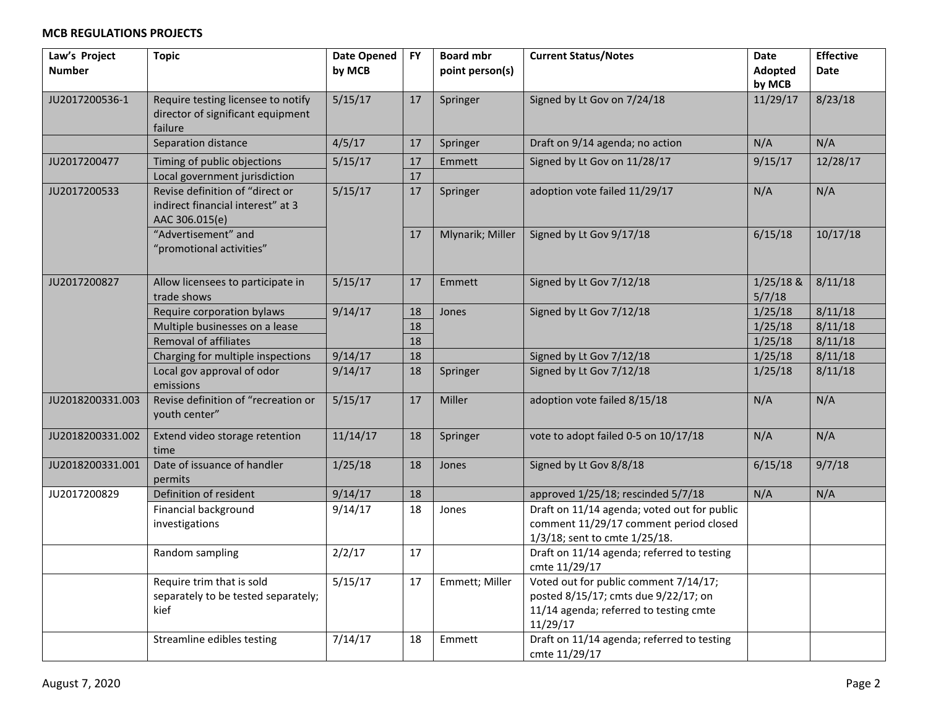| Law's Project<br><b>Number</b> | <b>Topic</b>                                                                           | <b>Date Opened</b><br>by MCB | <b>FY</b> | <b>Board mbr</b><br>point person(s) | <b>Current Status/Notes</b>                                                                                                         | Date<br>Adopted       | <b>Effective</b><br><b>Date</b> |
|--------------------------------|----------------------------------------------------------------------------------------|------------------------------|-----------|-------------------------------------|-------------------------------------------------------------------------------------------------------------------------------------|-----------------------|---------------------------------|
|                                |                                                                                        |                              |           |                                     |                                                                                                                                     | by MCB                |                                 |
| JU2017200536-1                 | Require testing licensee to notify<br>director of significant equipment<br>failure     | 5/15/17                      | 17        | Springer                            | Signed by Lt Gov on 7/24/18                                                                                                         | 11/29/17              | 8/23/18                         |
|                                | Separation distance                                                                    | 4/5/17                       | 17        | Springer                            | Draft on 9/14 agenda; no action                                                                                                     | N/A                   | N/A                             |
| JU2017200477                   | Timing of public objections                                                            | 5/15/17                      | 17        | Emmett                              | Signed by Lt Gov on 11/28/17                                                                                                        | 9/15/17               | 12/28/17                        |
|                                | Local government jurisdiction                                                          |                              | 17        |                                     |                                                                                                                                     |                       |                                 |
| JU2017200533                   | Revise definition of "direct or<br>indirect financial interest" at 3<br>AAC 306.015(e) | 5/15/17                      | 17        | Springer                            | adoption vote failed 11/29/17                                                                                                       | N/A                   | N/A                             |
|                                | "Advertisement" and<br>"promotional activities"                                        |                              | 17        | Mlynarik; Miller                    | Signed by Lt Gov 9/17/18                                                                                                            | 6/15/18               | 10/17/18                        |
| JU2017200827                   | Allow licensees to participate in<br>trade shows                                       | 5/15/17                      | 17        | Emmett                              | Signed by Lt Gov 7/12/18                                                                                                            | $1/25/18$ &<br>5/7/18 | 8/11/18                         |
|                                | Require corporation bylaws                                                             | 9/14/17                      | 18        | Jones                               | Signed by Lt Gov 7/12/18                                                                                                            | 1/25/18               | 8/11/18                         |
|                                | Multiple businesses on a lease                                                         |                              | 18        |                                     |                                                                                                                                     | 1/25/18               | 8/11/18                         |
|                                | <b>Removal of affiliates</b>                                                           |                              | 18        |                                     |                                                                                                                                     | 1/25/18               | 8/11/18                         |
|                                | Charging for multiple inspections                                                      | 9/14/17                      | 18        |                                     | Signed by Lt Gov 7/12/18                                                                                                            | 1/25/18               | 8/11/18                         |
|                                | Local gov approval of odor<br>emissions                                                | 9/14/17                      | 18        | Springer                            | Signed by Lt Gov 7/12/18                                                                                                            | 1/25/18               | 8/11/18                         |
| JU2018200331.003               | Revise definition of "recreation or<br>vouth center"                                   | 5/15/17                      | 17        | Miller                              | adoption vote failed 8/15/18                                                                                                        | N/A                   | N/A                             |
| JU2018200331.002               | Extend video storage retention<br>time                                                 | 11/14/17                     | 18        | Springer                            | vote to adopt failed 0-5 on 10/17/18                                                                                                | N/A                   | N/A                             |
| JU2018200331.001               | Date of issuance of handler<br>permits                                                 | 1/25/18                      | 18        | Jones                               | Signed by Lt Gov 8/8/18                                                                                                             | 6/15/18               | 9/7/18                          |
| JU2017200829                   | Definition of resident                                                                 | 9/14/17                      | 18        |                                     | approved 1/25/18; rescinded 5/7/18                                                                                                  | N/A                   | N/A                             |
|                                | Financial background<br>investigations                                                 | 9/14/17                      | 18        | Jones                               | Draft on 11/14 agenda; voted out for public<br>comment 11/29/17 comment period closed<br>1/3/18; sent to cmte 1/25/18.              |                       |                                 |
|                                | Random sampling                                                                        | 2/2/17                       | 17        |                                     | Draft on 11/14 agenda; referred to testing<br>cmte 11/29/17                                                                         |                       |                                 |
|                                | Require trim that is sold<br>separately to be tested separately;<br>kief               | 5/15/17                      | 17        | Emmett; Miller                      | Voted out for public comment 7/14/17;<br>posted 8/15/17; cmts due 9/22/17; on<br>11/14 agenda; referred to testing cmte<br>11/29/17 |                       |                                 |
|                                | Streamline edibles testing                                                             | 7/14/17                      | 18        | Emmett                              | Draft on 11/14 agenda; referred to testing<br>cmte 11/29/17                                                                         |                       |                                 |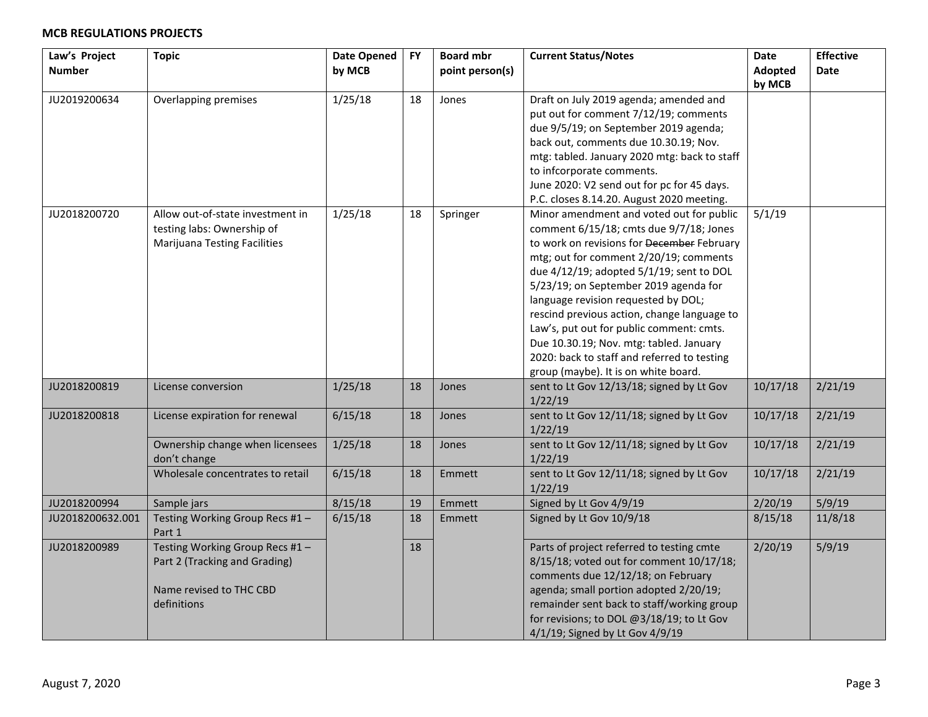| Law's Project    | <b>Topic</b>                        | Date Opened | <b>FY</b> | <b>Board mbr</b> | <b>Current Status/Notes</b>                  | Date           | <b>Effective</b> |
|------------------|-------------------------------------|-------------|-----------|------------------|----------------------------------------------|----------------|------------------|
| <b>Number</b>    |                                     | by MCB      |           | point person(s)  |                                              | <b>Adopted</b> | <b>Date</b>      |
|                  |                                     |             |           |                  |                                              | by MCB         |                  |
| JU2019200634     | Overlapping premises                | 1/25/18     | 18        | Jones            | Draft on July 2019 agenda; amended and       |                |                  |
|                  |                                     |             |           |                  | put out for comment 7/12/19; comments        |                |                  |
|                  |                                     |             |           |                  | due 9/5/19; on September 2019 agenda;        |                |                  |
|                  |                                     |             |           |                  | back out, comments due 10.30.19; Nov.        |                |                  |
|                  |                                     |             |           |                  | mtg: tabled. January 2020 mtg: back to staff |                |                  |
|                  |                                     |             |           |                  | to infcorporate comments.                    |                |                  |
|                  |                                     |             |           |                  | June 2020: V2 send out for pc for 45 days.   |                |                  |
|                  |                                     |             |           |                  | P.C. closes 8.14.20. August 2020 meeting.    |                |                  |
| JU2018200720     | Allow out-of-state investment in    | 1/25/18     | 18        | Springer         | Minor amendment and voted out for public     | 5/1/19         |                  |
|                  | testing labs: Ownership of          |             |           |                  | comment 6/15/18; cmts due 9/7/18; Jones      |                |                  |
|                  | <b>Marijuana Testing Facilities</b> |             |           |                  | to work on revisions for December February   |                |                  |
|                  |                                     |             |           |                  | mtg; out for comment 2/20/19; comments       |                |                  |
|                  |                                     |             |           |                  | due 4/12/19; adopted 5/1/19; sent to DOL     |                |                  |
|                  |                                     |             |           |                  | 5/23/19; on September 2019 agenda for        |                |                  |
|                  |                                     |             |           |                  | language revision requested by DOL;          |                |                  |
|                  |                                     |             |           |                  | rescind previous action, change language to  |                |                  |
|                  |                                     |             |           |                  | Law's, put out for public comment: cmts.     |                |                  |
|                  |                                     |             |           |                  | Due 10.30.19; Nov. mtg: tabled. January      |                |                  |
|                  |                                     |             |           |                  | 2020: back to staff and referred to testing  |                |                  |
|                  |                                     |             |           |                  | group (maybe). It is on white board.         |                |                  |
| JU2018200819     | License conversion                  | 1/25/18     | 18        | Jones            | sent to Lt Gov 12/13/18; signed by Lt Gov    | 10/17/18       | 2/21/19          |
|                  |                                     |             |           |                  | 1/22/19                                      |                |                  |
| JU2018200818     | License expiration for renewal      | 6/15/18     | 18        | Jones            | sent to Lt Gov 12/11/18; signed by Lt Gov    | 10/17/18       | 2/21/19          |
|                  |                                     |             |           |                  | 1/22/19                                      |                |                  |
|                  | Ownership change when licensees     | 1/25/18     | 18        | Jones            | sent to Lt Gov 12/11/18; signed by Lt Gov    | 10/17/18       | 2/21/19          |
|                  | don't change                        |             |           |                  | 1/22/19                                      |                |                  |
|                  | Wholesale concentrates to retail    | 6/15/18     | 18        | Emmett           | sent to Lt Gov 12/11/18; signed by Lt Gov    | 10/17/18       | 2/21/19          |
|                  |                                     |             |           |                  | 1/22/19                                      |                |                  |
| JU2018200994     | Sample jars                         | 8/15/18     | 19        | Emmett           | Signed by Lt Gov 4/9/19                      | 2/20/19        | 5/9/19           |
| JU2018200632.001 | Testing Working Group Recs #1 -     | 6/15/18     | 18        | Emmett           | Signed by Lt Gov 10/9/18                     | 8/15/18        | 11/8/18          |
|                  | Part 1                              |             |           |                  |                                              |                |                  |
| JU2018200989     | Testing Working Group Recs #1-      |             | 18        |                  | Parts of project referred to testing cmte    | 2/20/19        | 5/9/19           |
|                  | Part 2 (Tracking and Grading)       |             |           |                  | 8/15/18; voted out for comment 10/17/18;     |                |                  |
|                  |                                     |             |           |                  | comments due 12/12/18; on February           |                |                  |
|                  | Name revised to THC CBD             |             |           |                  | agenda; small portion adopted 2/20/19;       |                |                  |
|                  | definitions                         |             |           |                  | remainder sent back to staff/working group   |                |                  |
|                  |                                     |             |           |                  | for revisions; to DOL @3/18/19; to Lt Gov    |                |                  |
|                  |                                     |             |           |                  | 4/1/19; Signed by Lt Gov 4/9/19              |                |                  |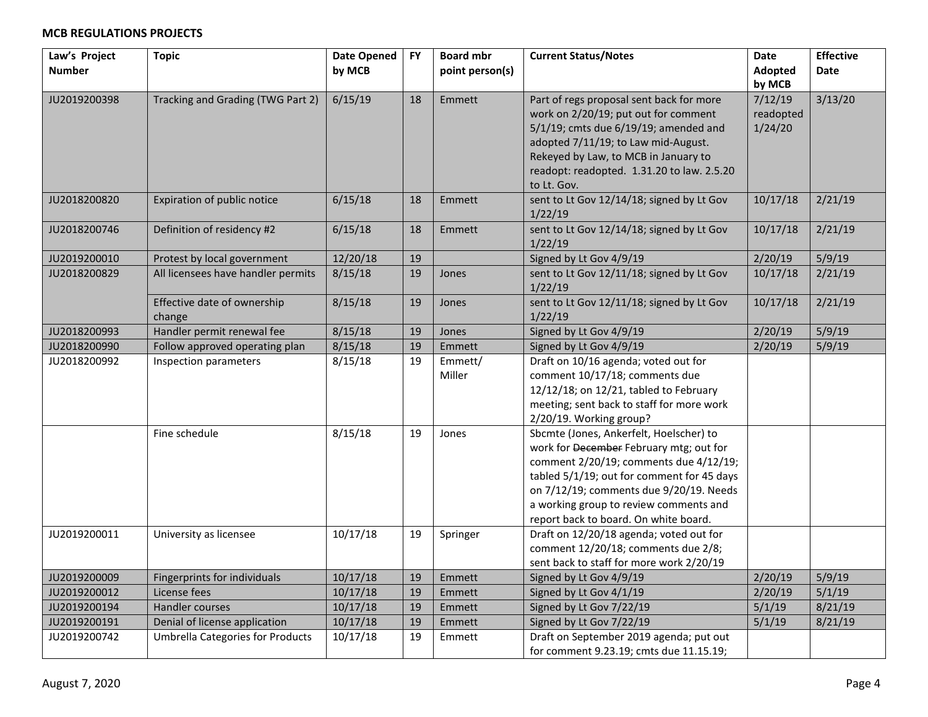| Law's Project<br><b>Number</b> | <b>Topic</b>                            | <b>Date Opened</b><br>by MCB | <b>FY</b> | <b>Board mbr</b><br>point person(s) | <b>Current Status/Notes</b>                                                                                                                                                                                                                                                                              | <b>Date</b><br>Adopted          | <b>Effective</b><br><b>Date</b> |
|--------------------------------|-----------------------------------------|------------------------------|-----------|-------------------------------------|----------------------------------------------------------------------------------------------------------------------------------------------------------------------------------------------------------------------------------------------------------------------------------------------------------|---------------------------------|---------------------------------|
|                                |                                         |                              |           |                                     |                                                                                                                                                                                                                                                                                                          | by MCB                          |                                 |
| JU2019200398                   | Tracking and Grading (TWG Part 2)       | 6/15/19                      | 18        | Emmett                              | Part of regs proposal sent back for more<br>work on 2/20/19; put out for comment<br>5/1/19; cmts due 6/19/19; amended and<br>adopted 7/11/19; to Law mid-August.<br>Rekeyed by Law, to MCB in January to<br>readopt: readopted. 1.31.20 to law. 2.5.20<br>to Lt. Gov.                                    | 7/12/19<br>readopted<br>1/24/20 | 3/13/20                         |
| JU2018200820                   | Expiration of public notice             | 6/15/18                      | 18        | Emmett                              | sent to Lt Gov 12/14/18; signed by Lt Gov<br>1/22/19                                                                                                                                                                                                                                                     | 10/17/18                        | 2/21/19                         |
| JU2018200746                   | Definition of residency #2              | 6/15/18                      | 18        | Emmett                              | sent to Lt Gov 12/14/18; signed by Lt Gov<br>1/22/19                                                                                                                                                                                                                                                     | 10/17/18                        | 2/21/19                         |
| JU2019200010                   | Protest by local government             | 12/20/18                     | 19        |                                     | Signed by Lt Gov 4/9/19                                                                                                                                                                                                                                                                                  | 2/20/19                         | 5/9/19                          |
| JU2018200829                   | All licensees have handler permits      | 8/15/18                      | 19        | Jones                               | sent to Lt Gov 12/11/18; signed by Lt Gov<br>1/22/19                                                                                                                                                                                                                                                     | 10/17/18                        | 2/21/19                         |
|                                | Effective date of ownership<br>change   | 8/15/18                      | 19        | Jones                               | sent to Lt Gov 12/11/18; signed by Lt Gov<br>1/22/19                                                                                                                                                                                                                                                     | 10/17/18                        | 2/21/19                         |
| JU2018200993                   | Handler permit renewal fee              | 8/15/18                      | 19        | Jones                               | Signed by Lt Gov 4/9/19                                                                                                                                                                                                                                                                                  | 2/20/19                         | 5/9/19                          |
| JU2018200990                   | Follow approved operating plan          | 8/15/18                      | 19        | Emmett                              | Signed by Lt Gov 4/9/19                                                                                                                                                                                                                                                                                  | 2/20/19                         | 5/9/19                          |
| JU2018200992                   | Inspection parameters                   | 8/15/18                      | 19        | Emmett/<br>Miller                   | Draft on 10/16 agenda; voted out for<br>comment 10/17/18; comments due<br>12/12/18; on 12/21, tabled to February<br>meeting; sent back to staff for more work<br>2/20/19. Working group?                                                                                                                 |                                 |                                 |
|                                | Fine schedule                           | 8/15/18                      | 19        | Jones                               | Sbcmte (Jones, Ankerfelt, Hoelscher) to<br>work for December February mtg; out for<br>comment 2/20/19; comments due 4/12/19;<br>tabled 5/1/19; out for comment for 45 days<br>on 7/12/19; comments due 9/20/19. Needs<br>a working group to review comments and<br>report back to board. On white board. |                                 |                                 |
| JU2019200011                   | University as licensee                  | 10/17/18                     | 19        | Springer                            | Draft on 12/20/18 agenda; voted out for<br>comment 12/20/18; comments due 2/8;<br>sent back to staff for more work 2/20/19                                                                                                                                                                               |                                 |                                 |
| JU2019200009                   | Fingerprints for individuals            | 10/17/18                     | 19        | Emmett                              | Signed by Lt Gov 4/9/19                                                                                                                                                                                                                                                                                  | 2/20/19                         | 5/9/19                          |
| JU2019200012                   | License fees                            | 10/17/18                     | 19        | Emmett                              | Signed by Lt Gov 4/1/19                                                                                                                                                                                                                                                                                  | 2/20/19                         | 5/1/19                          |
| JU2019200194                   | Handler courses                         | 10/17/18                     | 19        | Emmett                              | Signed by Lt Gov 7/22/19                                                                                                                                                                                                                                                                                 | 5/1/19                          | 8/21/19                         |
| JU2019200191                   | Denial of license application           | 10/17/18                     | 19        | Emmett                              | Signed by Lt Gov 7/22/19                                                                                                                                                                                                                                                                                 | 5/1/19                          | 8/21/19                         |
| JU2019200742                   | <b>Umbrella Categories for Products</b> | 10/17/18                     | 19        | Emmett                              | Draft on September 2019 agenda; put out<br>for comment 9.23.19; cmts due 11.15.19;                                                                                                                                                                                                                       |                                 |                                 |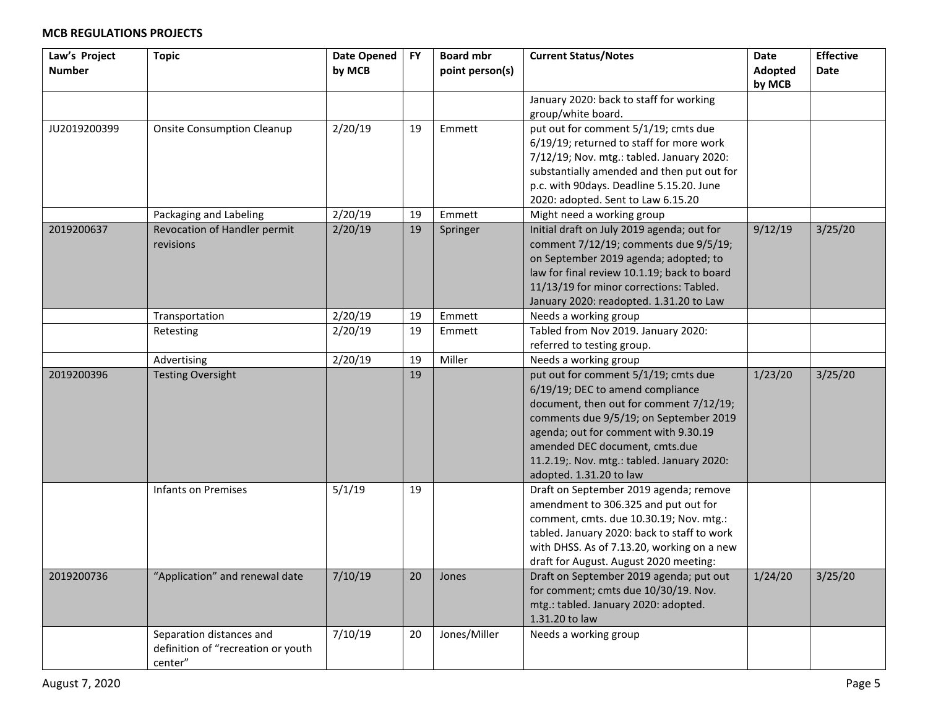| Law's Project | <b>Topic</b>                       | <b>Date Opened</b> | <b>FY</b> | <b>Board mbr</b> | <b>Current Status/Notes</b>                                                               | Date    | <b>Effective</b> |
|---------------|------------------------------------|--------------------|-----------|------------------|-------------------------------------------------------------------------------------------|---------|------------------|
| <b>Number</b> |                                    | by MCB             |           | point person(s)  |                                                                                           | Adopted | Date             |
|               |                                    |                    |           |                  |                                                                                           | by MCB  |                  |
|               |                                    |                    |           |                  | January 2020: back to staff for working                                                   |         |                  |
|               |                                    |                    |           |                  | group/white board.                                                                        |         |                  |
| JU2019200399  | <b>Onsite Consumption Cleanup</b>  | 2/20/19            | 19        | Emmett           | put out for comment 5/1/19; cmts due                                                      |         |                  |
|               |                                    |                    |           |                  | 6/19/19; returned to staff for more work                                                  |         |                  |
|               |                                    |                    |           |                  | 7/12/19; Nov. mtg.: tabled. January 2020:                                                 |         |                  |
|               |                                    |                    |           |                  | substantially amended and then put out for                                                |         |                  |
|               |                                    |                    |           |                  | p.c. with 90days. Deadline 5.15.20. June                                                  |         |                  |
|               |                                    |                    |           |                  | 2020: adopted. Sent to Law 6.15.20                                                        |         |                  |
|               | Packaging and Labeling             | 2/20/19            | 19        | Emmett           | Might need a working group                                                                |         |                  |
| 2019200637    | Revocation of Handler permit       | 2/20/19            | 19        | Springer         | Initial draft on July 2019 agenda; out for                                                | 9/12/19 | 3/25/20          |
|               | revisions                          |                    |           |                  | comment 7/12/19; comments due 9/5/19;<br>on September 2019 agenda; adopted; to            |         |                  |
|               |                                    |                    |           |                  | law for final review 10.1.19; back to board                                               |         |                  |
|               |                                    |                    |           |                  | 11/13/19 for minor corrections: Tabled.                                                   |         |                  |
|               |                                    |                    |           |                  | January 2020: readopted. 1.31.20 to Law                                                   |         |                  |
|               | Transportation                     | 2/20/19            | 19        | Emmett           | Needs a working group                                                                     |         |                  |
|               | Retesting                          | 2/20/19            | 19        | Emmett           | Tabled from Nov 2019. January 2020:                                                       |         |                  |
|               |                                    |                    |           |                  | referred to testing group.                                                                |         |                  |
|               | Advertising                        | 2/20/19            | 19        | Miller           | Needs a working group                                                                     |         |                  |
| 2019200396    | <b>Testing Oversight</b>           |                    | 19        |                  | put out for comment 5/1/19; cmts due                                                      | 1/23/20 | 3/25/20          |
|               |                                    |                    |           |                  | 6/19/19; DEC to amend compliance                                                          |         |                  |
|               |                                    |                    |           |                  | document, then out for comment 7/12/19;                                                   |         |                  |
|               |                                    |                    |           |                  | comments due 9/5/19; on September 2019                                                    |         |                  |
|               |                                    |                    |           |                  | agenda; out for comment with 9.30.19                                                      |         |                  |
|               |                                    |                    |           |                  | amended DEC document, cmts.due                                                            |         |                  |
|               |                                    |                    |           |                  | 11.2.19; Nov. mtg.: tabled. January 2020:                                                 |         |                  |
|               |                                    |                    |           |                  | adopted. 1.31.20 to law                                                                   |         |                  |
|               | Infants on Premises                | 5/1/19             | 19        |                  | Draft on September 2019 agenda; remove                                                    |         |                  |
|               |                                    |                    |           |                  | amendment to 306.325 and put out for                                                      |         |                  |
|               |                                    |                    |           |                  | comment, cmts. due 10.30.19; Nov. mtg.:                                                   |         |                  |
|               |                                    |                    |           |                  | tabled. January 2020: back to staff to work<br>with DHSS. As of 7.13.20, working on a new |         |                  |
|               |                                    |                    |           |                  | draft for August. August 2020 meeting:                                                    |         |                  |
| 2019200736    | "Application" and renewal date     | 7/10/19            | 20        | Jones            | Draft on September 2019 agenda; put out                                                   | 1/24/20 | 3/25/20          |
|               |                                    |                    |           |                  | for comment; cmts due 10/30/19. Nov.                                                      |         |                  |
|               |                                    |                    |           |                  | mtg.: tabled. January 2020: adopted.                                                      |         |                  |
|               |                                    |                    |           |                  | 1.31.20 to law                                                                            |         |                  |
|               | Separation distances and           | 7/10/19            | 20        | Jones/Miller     | Needs a working group                                                                     |         |                  |
|               | definition of "recreation or youth |                    |           |                  |                                                                                           |         |                  |
|               | center"                            |                    |           |                  |                                                                                           |         |                  |